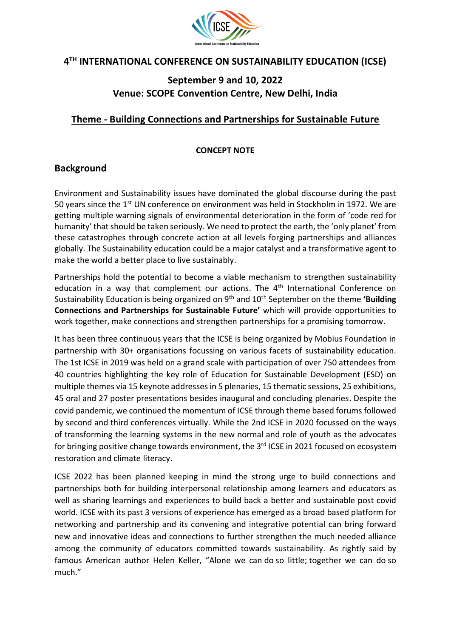

# **4 TH INTERNATIONAL CONFERENCE ON SUSTAINABILITY EDUCATION (ICSE)**

# **September 9 and 10, 2022 Venue: SCOPE Convention Centre, New Delhi, India**

### **Theme - Building Connections and Partnerships for Sustainable Future**

#### **CONCEPT NOTE**

### **Background**

Environment and Sustainability issues have dominated the global discourse during the past 50 years since the  $1<sup>st</sup>$  UN conference on environment was held in Stockholm in 1972. We are getting multiple warning signals of environmental deterioration in the form of 'code red for humanity' that should be taken seriously. We need to protect the earth, the 'only planet' from these catastrophes through concrete action at all levels forging partnerships and alliances globally. The Sustainability education could be a major catalyst and a transformative agent to make the world a better place to live sustainably.

Partnerships hold the potential to become a viable mechanism to strengthen sustainability education in a way that complement our actions. The  $4<sup>th</sup>$  International Conference on Sustainability Education is being organized on 9th and 10th September on the theme **'Building Connections and Partnerships for Sustainable Future'** which will provide opportunities to work together, make connections and strengthen partnerships for a promising tomorrow.

It has been three continuous years that the ICSE is being organized by Mobius Foundation in partnership with 30+ organisations focussing on various facets of sustainability education. The 1st ICSE in 2019 was held on a grand scale with participation of over 750 attendees from 40 countries highlighting the key role of Education for Sustainable Development (ESD) on multiple themes via 15 keynote addresses in 5 plenaries, 15 thematic sessions, 25 exhibitions, 45 oral and 27 poster presentations besides inaugural and concluding plenaries. Despite the covid pandemic, we continued the momentum of ICSE through theme based forums followed by second and third conferences virtually. While the 2nd ICSE in 2020 focussed on the ways of transforming the learning systems in the new normal and role of youth as the advocates for bringing positive change towards environment, the 3<sup>rd</sup> ICSE in 2021 focused on ecosystem restoration and climate literacy.

ICSE 2022 has been planned keeping in mind the strong urge to build connections and partnerships both for building interpersonal relationship among learners and educators as well as sharing learnings and experiences to build back a better and sustainable post covid world. ICSE with its past 3 versions of experience has emerged as a broad based platform for networking and partnership and its convening and integrative potential can bring forward new and innovative ideas and connections to further strengthen the much needed alliance among the community of educators committed towards sustainability. As rightly said by famous American author Helen Keller, "Alone we can do so little; together we can do so much."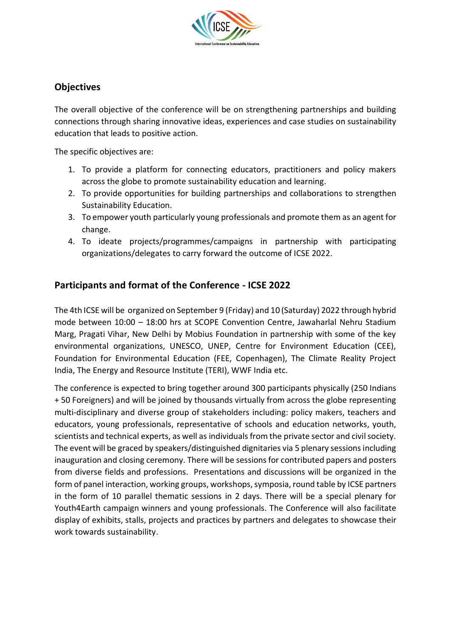

# **Objectives**

The overall objective of the conference will be on strengthening partnerships and building connections through sharing innovative ideas, experiences and case studies on sustainability education that leads to positive action.

The specific objectives are:

- 1. To provide a platform for connecting educators, practitioners and policy makers across the globe to promote sustainability education and learning.
- 2. To provide opportunities for building partnerships and collaborations to strengthen Sustainability Education.
- 3. To empower youth particularly young professionals and promote them as an agent for change.
- 4. To ideate projects/programmes/campaigns in partnership with participating organizations/delegates to carry forward the outcome of ICSE 2022.

### **Participants and format of the Conference - ICSE 2022**

The 4th ICSE will be organized on September 9 (Friday) and 10 (Saturday) 2022 through hybrid mode between 10:00 – 18:00 hrs at SCOPE Convention Centre, Jawaharlal Nehru Stadium Marg, Pragati Vihar, New Delhi by Mobius Foundation in partnership with some of the key environmental organizations, UNESCO, UNEP, Centre for Environment Education (CEE), Foundation for Environmental Education (FEE, Copenhagen), The Climate Reality Project India, The Energy and Resource Institute (TERI), WWF India etc.

The conference is expected to bring together around 300 participants physically (250 Indians + 50 Foreigners) and will be joined by thousands virtually from across the globe representing multi-disciplinary and diverse group of stakeholders including: policy makers, teachers and educators, young professionals, representative of schools and education networks, youth, scientists and technical experts, as well as individuals from the private sector and civil society. The event will be graced by speakers/distinguished dignitaries via 5 plenary sessions including inauguration and closing ceremony. There will be sessions for contributed papers and posters from diverse fields and professions. Presentations and discussions will be organized in the form of panel interaction, working groups, workshops, symposia, round table by ICSE partners in the form of 10 parallel thematic sessions in 2 days. There will be a special plenary for Youth4Earth campaign winners and young professionals. The Conference will also facilitate display of exhibits, stalls, projects and practices by partners and delegates to showcase their work towards sustainability.